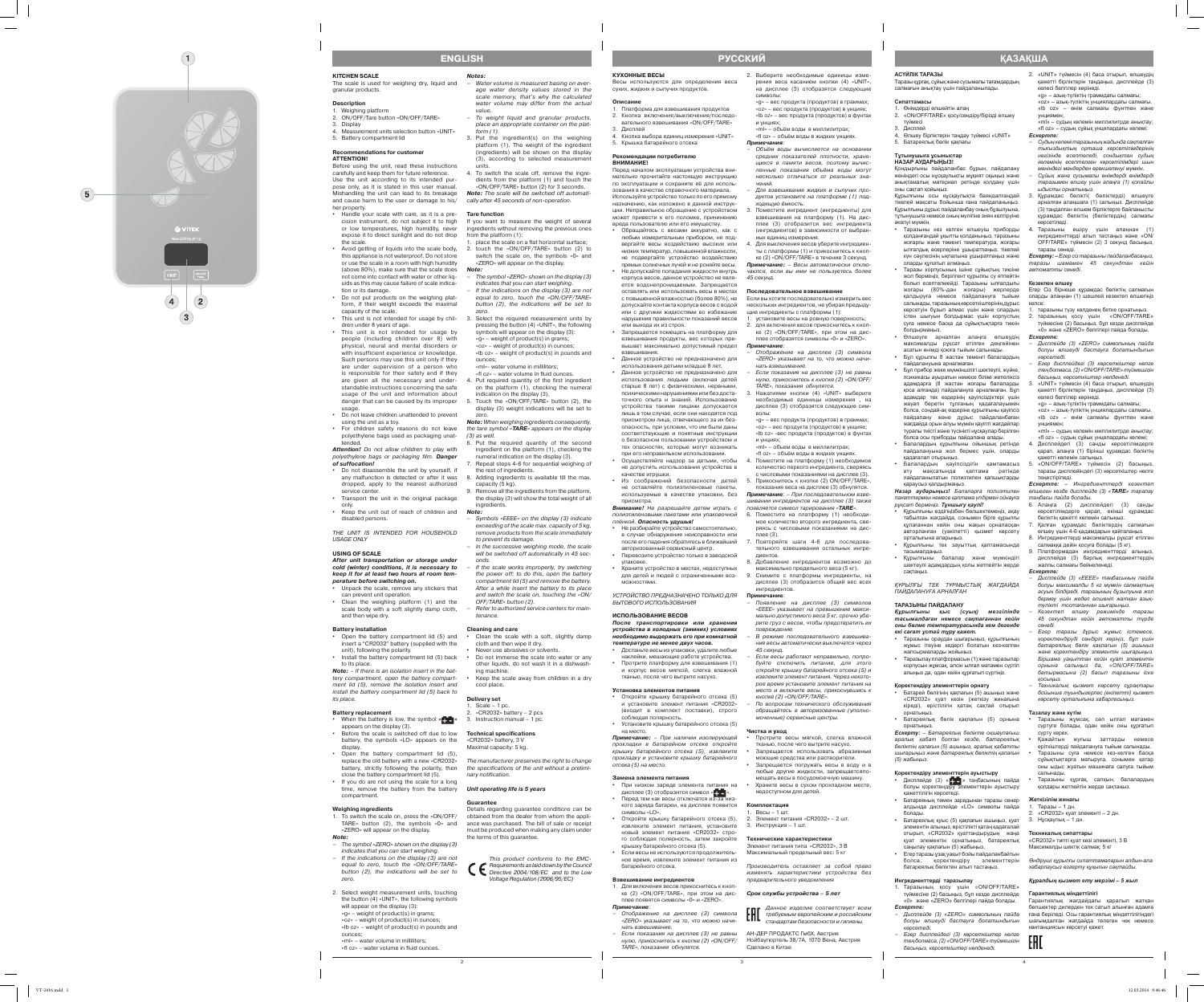2

3

4

**KITCHEN SCALE**  The scale is used for weighing dry, liquid and granular products.

#### **Description**

- 1. Weighing platform 2. ON/OFF/Tare button «ON/OFF/TARE»
- 3. Display
- 4. Measurement units selection button «UNIT» 5. Battery compartment lid

## **Recommendations for customer**

**ATTENTION!** Before using the unit, read these instructions carefully and keep them for future reference. Use the unit according to its intended pur pose only, as it is stated in this user manual. Mishandling the unit can lead to its breakage and cause harm to the user or damage to his/ her property.

- Handle your scale with care, as it is a precision instrument, do not subject it to high or low temperatures, high humidity, never expose it to direct sunlight and do not drop the scale.
- • Avoid getting of liquids into the scale body, this appliance is not waterproof. Do not store or use the scale in a room with high humidity (above 80%), make sure that the scale does not come into contact with water or other liq uids as this may cause failure of scale indica -
- tion or its damage. • Do not put products on the weighing platform, if their weight exceeds the maximal
- capacity of the scale. • This unit is not intended for usage by chil- 3. Select the required measurement units by dren under 8 years of age.
- This unit is not intended for usage by people (including children over 8) with physical, neural and mental disorders or with insufficient experience or knowledge. Such persons may use this unit only if they are under supervision of a person who is responsible for their safety and if they are given all the necessary and under standable instructions concerning the safe usage of the unit and information about danger that can be caused by its improper usage.
- • Do not leave children unattended to prevent using the unit as a toy. • For children safety reasons do not leave
- polyethylene bags used as packaging unat tended. **Attention!** Do not allow children to play with

- Unpack the scale, remove any stickers that can prevent unit operation. • Clean the weighing platform (1) and the
- scale body with a soft slightly damp cloth, and then wipe dry.

- Open the battery compartment lid (5) and insert a "CR2032" battery (supplied with the unit), following the polarity.
- Install the battery compartment lid (5) back to its place.

- When the battery is low, the symbol « $\uparrow$  +  $\downarrow$  » 3. Instruction manual 1 pc. appears on the display (3). Before the scale is switched off due to low battery, the symbols «LO» appears on the
- display. • Open the battery compartment lid (5), replace the old battery with a new «CR2032»
- battery, strictly following the polarity, then close the battery compartment lid (5). • If you do are not using the scale for a long
- time, remove the battery from the battery compartment.

polyethylene bags or packaging film. **Danger of suffocation!** • Do not disassemble the unit by yourself, if

- any malfunction is detected or after it was dropped, apply to the nearest authorized service center Transport the unit in the original package
- only. • Keep the unit out of reach of children and disabled persons.

THE UNIT IS INTENDED FOR HOUSEHOLD USAGE ONLY

### **USING OF SCALE**

**After unit transportation or storage under cold (winter) conditions, it is necessary to keep it for at least two hours at room tem perature before switching on.**

place the scale on a flat horizontal surface; 2. touch the «ON/OFF/TARE» button (2) to switch the scale on, the symbols «0» and «ZERO» will appear on the display.

#### **Battery installation**

«ml»- water volume in milliliters; «fl oz» – water volume in fluid ounces. Put required quantity of the first ingredient on the platform (1), checking the numeral

**Note:** – If there is an isolation insert in the bat tery compartment, open the battery compart ment lid (5), remove the isolation insert and install the battery compartment lid (5) back to its place.

6. Put the required quantity of the second ingredient on the platform (1), checking the numeral indication on the display (3). Repeat steps 4-6 for sequential weighing of

#### **Battery replacement**

– Symbols «EEEE» on the display (3) indicate exceeding of the scale max. capacity of 5 kg, remove products from the scale immediately

If the scale works improperly, try switching the power off; to do this, open the battery compartment lid (5) and remove the battery. After a while insert the battery to its place and switch the scale on, touching the «ON/

cloth and then wipe it dry. Never use abrasives or solvents

 $\cdot$  «CR2032» battery – 2 pcs

### **Weighing ingredients**

Do not immerse the scale into water or any other liquids, do not wash it in a dishwash -

Keep the scale away from children in a dry

cool place. **Delivery set** . Scale  $-1$  pc.

- 1. To switch the scale on, press the «ON/OFF/ TARE» button (2), the symbols «0» and «ZERO» will appear on the display.
- **Note:** – The symbol «ZERO» shown on the display (3)
- indicates that you can start weighing. – If the indications on the display (3) are not equal to zero, touch the «ON/OFF/TARE» button (2), the indications will be set to zero.
- 2. Select weight measurement units, touching the button (4) «UNIT», the following symbols will appear on the display (3):  $\alpha$ <sub>»</sub> – weight of product(s) in grams «oz» – weight of product(s) in ounces; «lb oz» – weight of product(s) in pounds and
- ounces;

«ml» – water volume in milliliters; «fl oz» – water volume in fluid ounces. **Notes:**

– Water volume is measured basing on aver age water density values stored in the scale memory, that's why the calculated water volume may differ from the actual

value.

– To weight liquid and granular products, place an appropriate container on the plat -

form (1).

3. Put the ingredient(s) on the weighing platform (1). The weight of the ingredient (ingredients) will be shown on the display (3), according to selected measurement

units.

4. To switch the scale off, remove the ingre dients from the platform (1) and touch the «ON/OFF/TARE» button (2) for 3 seconds. **Note:** The scale will be switched off automati cally after 45 seconds of non-operation.

**Tare function**

If you want to measure the weight of several ingredients without removing the previous ones

from the platform (1):

**Note:**

– The symbol «ZERO» shown on the display (3) indicates that you can start weighing. If the indications on the display  $(3)$  are not equal to zero, touch the «ON/OFF/TARE» button (2), the indications will be set to

zero.

pressing the button (4) «UNIT», the following symbols will appear on the display (3):  $\alpha$ » – weight of product(s) in grams; «oz» – weight of product(s) in ounces; «lb oz» – weight of product(s) in pounds and

ounces;

indication on the display (3).

5. Touch the «ON/OFF/TARE» button (2), the display (3) weight indications will be set to

zero.

**Note:** When weighing ingredients consequently, the tare symbol «**TARE**» appears on the display

(3) as well.

- дисплее (3) отобразится символ « + ». • Перед тем как весы отключатся из-за низкого заряда батареи, на дисплее появится символы «LO».
- Откройте крышку батарейного отсека (5), извлеките элемент питания, установите новый элемент питания «CR2032» стро го соблюдая полярность, затем закройте
- крышку батарейного отсека (5). • Если весы не используются продолжительное время, извлеките элемент питания из батарейного отсека.
- **Взвешивание ингредиентов** 1. Для включения весов прикоснитесь к кноп ке (2) «ON/OFF/TARE», при этом на дис плее появятся символы «0» и «ZERO».
- **Примечание**: Отображение на дисплее (3) символа «ZERO» указывает на то, что можно начи -
- нать взвешивание. – Если показания на дисплее (3) не равны нулю, прикоснитесь к кнопке (2) «ON/OFF/ TARE», показания обнулятся.

the rest of ingredients.

to prevent its damage

8. Adding ingredients is available till the max.

capacity (5 kg).

9. Remove all the ingredients from the platform, the display (3) will show the total weight of all

ingredients.

**Note:**

– In the successive weighing mode, the scale will be switched off automatically in 45 sec -

onds.

OFF/TARE» button (2).

– Refer to authorized service centers for main -

• Clean the scale with a soft, slightly damp

Нажатиями кнопки (4) «UNIT» выберите необходимые единицы измерения , на дисплее (3) отобразятся следующие сим -

tenance. **Cleaning and care**

«ml» – объем воды в миллилитрах; «fl oz» – объём воды в жидких унциях. 4. Поместите на платформу (1) необходимое количество первого ингредиента, сверяясь с числовыми показаниями на дисплее (3). 5. Прикоснитесь к кнопке (2) ON/OFF/TARE», показания веса на дисплее (3) обнулятся. **Примечание**: - При последовательном взвешивании ингредиентов на дисплее (3) также появляется символ тарирования «**TARE**». 6. Поместите на платформу (1) необходимое количество второго ингредиента, сверяясь с числовыми показаниями на дис-

ing machine.

**Technical specifications** «CR2032» battery, 3 V Maximal capacity: 5 kg.

nary notification.

**Guarantee**

Details regarding guarantee conditions can be obtained from the dealer from whom the appli ance was purchased. The bill of sale or receipt must be produced when making any claim under

the terms of this guarantee.

This product conforms to the EMC-Requirements as laid down by the Council Directive 2004/108/EC and to the Low Voltage Regulation (2006/95/ЕС)



## **КУХОННЫЕ ВЕСЫ**

Весы используются для определения веса сухих, жидких и сыпучих продуктов.

#### **Описание**

- 2. Кнопка включения/выключения/последо вательного взвешивания «ON/OFF/TARE» 3. Дисплей
- 4. Кнопка выбора единиц измерения «UNIT» 5. Крышка батарейного отсека

#### **Рекомендации потребителю ВНИМАНИЕ!**

Перед началом эксплуатации устройства вни мательно прочитайте настоящую инструкцию по эксплуатации и сохраните её для исполь зования в качестве справочного материала. Используйте устройство только по его прямому назначению, как изложено в данной инструк ции. Неправильное обращение с устройством

- может привести к его поломке, причинению вреда пользователю или его имуществу. Обращайтесь с весами аккуратно, как с любым измерительным прибором, не под вергайте весы воздействию высоких или низких температур, повышенной влажности, не подвергайте устройство воздействию прямых солнечных лучей и не роняйте весы.
- Не допускайте попадания жидкости внутрь корпуса весов, данное устройство не явля ется водонепроницаемым. Запрещается оставлять или использовать весы в местах с повышенной влажностью (более 80%), не допускайте контакта корпуса весов с водой или с другими жидкостями во избежание нарушения правильности показаний весов
- или выхода их из строя. Запрешается помещать на платформу для взвешивания продукты, вес которых пре вышает максимально допустимый предел
- взвешивания. Данное устройство не предназначено для использования детьми младше 8 лет. • Ланное устройство не предназначено для использования людьми (включая детей старше 8 лет) с физическими, нервными, психическими нарушениями или без доста точного опыта и знаний. Использование
- устройства такими лицами допускается лишь в том случае, если они находятся под присмотром лица, отвечающего за их без опасность, при условии, что им были даны соответствующие и понятные инструкции о безопасном пользовании устройством и тех опасностях, которые могут возникать
- при его неправильном использовании. Осуществляйте надзор за детьми, чтобы не допустить использования устройства в качестве игрушки.
- Из соображений безопасности детей не оставляйте полиэтиленовые пакеты, используемые в качестве упаковки, без присмотра.

The manufacturer preserves the right to change the specifications of the unit without a prelimi - **Unit operating life is 5 years Замена элемента питания**

- Таразыны ораудан шығарыныз, құрылғының жұмыс ітеуіне кедергі болатын кез-келген жапсырмаларды жойыңыз.
- • Таразылау платформасын (1) және таразылар корпусын жұмсақ, әлсін ылғал матамен сүртіп
- алыңыз да, одан кейін құрғатып сүртіңіз.
- **Қоректендіру элементтерін орнату** • Батарей бөлігінің қақпағын (5) ашыңыз және «CR2032» қуат көзін (жеткізу жинағына
- кіреді), өрістілігін қатаң сақтай отырып орнатыңыз.
- • Батареялық бөлік қақпағын (5) орнына орнатыңыз.

- Дисплейде (3) « + + » таңбасының пайда болуы қоректендіру элементтерін ауыстыру қажеттілігін көрсетеді.
- Батареяның төмен зарядынан таразы сөнер алдында дисплейде «LO» символы пайда болады.
- • Батареялық қуыс (5) қақпағын ашыңыз, қуат элементін алыңыз, өрістілікті қатаң қадағалай отырып, «CR2032» қуаттандырудың жаңа
- қуат элементін орнатыңыз, батареялық саңылау қақпағын (5) жабыңыз.
- Егер таразы узак уақыт бойы пайдаланбайтын болса, қоректендіру элементтерін батареялық бөліктен алып тастаңыз.

**Внимание!** Не разрешайте детям играть с полиэтиленовыми пакетами или упаковочной плёнкой. **Опасность удушья!**

- 1. Платформа для взвешивания продуктов 2. Выберите необходимые единицы изме рения веса касанием кнопки (4) «UNIT», на дисплее (3) отобразятся следующие символы: «g» – вес продукта (продуктов) в граммах;
	- «oz» вес продукта (продуктов) в унциях; «lb oz» – вес продукта (продуктов) в фунтах и унциях; «ml» – объём воды в миллилитрах;

- • Не разбирайте устройство самостоятельно, в случае обнаружения неисправности или после его падения обратитесь в ближайший авторизованный сервисный центр. Перевозите устройство только в заводской
- упаковке. Храните устройство в местах, недоступных для детей и людей с ограниченными воз -

можностями.

## УСТРОЙСТВО ПРЕДНАЗНАЧЕНО ТОЛЬКО ДЛЯ БЫТОВОГО ИСПОЛЬЗОВАНИЯ

#### **ИСПОЛЬЗОВАНИЕ ВЕСОВ**

**После транспортировки или хранения устройства в холодных (зимних) условиях необходимо выдержать его при комнатной** 

- **температуре не менее двух часов.** • Достаньте весы из упаковки, удалите любые наклейки, мешающие работе устройства.
- и корпус весов мягкой, слегка влажной тканью, после чего вытрите насухо.

• Протрите платформу для взвешивания (1)

## **Установка элементов питания**

• Откройте крышку батарейного отсека (5) и установите элемент питания «CR2032» (входит в комплект поставки), строго соблюдая полярность.

#### • Установите крышку батарейного отсека (5) на место.

**Примечание:**  – При наличии изолирующей прокладки в батарейном отсеке откройте крышку батарейного отсека (5), извлеките прокладку и установите крышку батарейного отсека (5) на место.

- таразыны түзу көлденең бетке орнатыңыз. 2. таразының қосу үшін «ON/OFF/TARE» түймесіне (2) басыңыз, бұл кезде дисплейде «0» және «ZERO» белгілері пайда болады.
- *Ескертпе:* – *Дисплейде (3) «ZERO» символының пайда болуы өлшеуді бастауға болатындығын көрсетеді.*
- *Егер дисплейдегі (3) көрсеткіштер нөлге тең болмаса, (2) «ON/OFF/TARE» түймешігін басыңыз, көрсеткіштер нөлденеді.*
- 3. «UNIT» түймесін (4) баса отырып, өлшеудің қажетті бірліктерін таңдаңыз, дисплейде (3) келесі белгілер көрінеді.
- «g» азық-түліктің граммдағы салмағы; «oz» – азық-түліктің унциялардағы салмағы.
- «lb oz» өнім салмағы фунтпен және унциямен; «ml» – судың көлемін миллилитрде анықтау;
- «fl oz» судың сұйық унцялардағы көлемі; 4. Дисплейдегі (3) санды көрсетілімдерге қарап, алаңға (1) бірінші құрамдас бөліктің
- қажетті көлемін салыңыз. 5. «ON/OFF/TARE» түймесін (2) басыңыз, таразы дисплейіндегі (3) көрсеткіштер нөлге теңестіріледі.
- *Ескертпе: Ингредиенттерді кезектеп өлшеген кезде дисплейде (3) «TARE» таралау таңбасы пайда болады.*
- 6. Алаңға (2) дисплейдегі (3) санды көрсетілімдерге қарап, екінші құрамдас бөліктің қажетті көлемін салыңыз. 7. Қалған құрамдас бөліктердің салмағын

## • При низком заряде элемента питания на

Таразыны жұмсақ, сәл ылғал матамен сүртуге болады, одан кейін оны құрғатып

Таразыны курғак, салкын, балалардың қолдары жетпейтін жерде сақтаңыз.

- «fl oz» объём воды в жидких унциях. **Примечания**: – Объём воды вычисляется на основании
- 
- 

средних показателей плотности, храня щихся в памяти весов, поэтому вычис ленные показания объёма воды могут несколько отличаться от реальных зна-

чений.

– Для взвешивания жидких и сыпучих про дуктов установите на платформе (1) под -

ходящую ёмкость.

3. Поместите ингредиент (ингредиенты) для взвешивания на платформу (1). На дис плее (3) отобразится вес ингредиента (ингредиентов) в зависимости от выбран -

ных единиц измерения.

4. Для выключения весов уберите ингредиен ты с платформы (1) и прикоснитесь к кноп ке (2) «ON/OFF/TARE» в течение 3 секунд. **Примечание:**  – Весы автоматически отклю чаются, если вы ими не пользуетесь более

45 секунд.

**Последовательное взвешивание**

Если вы хотите последовательно измерить вес нескольких ингредиентов, не убирая предыду щие ингредиенты с платформы (1):

1. установите весы на ровную поверхность; 2. для включения весов прикоснитесь к кноп ке (2) «ON/OFF/TARE», при этом на дис плее отобразятся символы «0» и «ZERO». **Примечание**: – Отображение на дисплее (3) символа «ZERO» указывает на то, что можно начи -

нать взвешивание.

– Если показания на дисплее (3) не равны нулю, прикоснитесь к кнопке (2) «ON/OFF/

TARE», показания обнулятся.

волы:

«g» – вес продукта (продуктов) в граммах; «oz» – вес продукта (продуктов) в унциях; «lb oz» -вес продукта (продуктов) в фунтах

и унциях;

плее (3).

7. Повторяйте шаги 4-6 для последовательного взвешивания остальных ингре-

диентов.

8. Добавление ингредиентов возможно до максимально предельного веса (5 кг). 9. Снимите с платформы ингредиенты, на дисплее (3) отобразится общий вес всех

- 
- 
- - ингредиентов. **Примечание** :

– Появление на дисплее (3) символов «EEEE» указывает на превышение макси мально допустимого веса 5 кг, срочно убе рите груз с весов, чтобы предотвратить их повреждение.

- В режиме последовательного взвешива ния весы автоматически выключатся через 45 секунд.
- Если весы работают неправильно, попро буйте отключить питание, для этого откройте крышку батарейного отсека (5) и извлеките элемент питания. Через некото рое время установите элемент питания на место и включите весы, прикоснувшись к кнопке (2) «ON/OFF/TARE».
- По вопросам технического обслуживания обращайтесь в авторизованные (уполно моченные) сервисные центры.
- **Чистка и уход**
- Протрите весы мягкой, слегка влажной тканью, после чего вытрите насухо.
- Запрешается использовать абразивные моющие средства или растворители.
- Запрещается погружать весы в воду и в любые другие жидкости, запрещаетсяпо мещать весы в посудомоечную машину.
- • Храните весы в сухом прохладном месте, недоступном для детей.
- **Комплектация** 1. Весы – 1 шт.
- 2. Элемент питания «CR2032» 2 шт. 3. Инструкция – 1 шт.
- **Технические характеристики**
- Элемент питания типа «CR2032», 3 В Максимальный предельный вес: 5 кг

Производитель оставляет за собой право изменять характеристики устройства без предварительного уведомления

**Срок службы устройства – 5 лет**

#### Данное изделие соответствует всем требуемым европейским и российским стандартам безопасности и гигиены.

АН-ДЕР ПРОДАКТС ГмбХ, Австрия Нойбаугюртель 38/7А, 1070 Вена, Австрия Сделано в Китае

## **русски й**

#### **АСҮЙЛІК ТАРАЗЫ**  Таразы құрғақ, сұйықжәне сусымалы тағамдардың

салмағын анықтау үшін пайдаланылады. **Сипаттамасы**

- 1. Өнімдерді өлшейтін алаң
- 2. «ON/OFF/TARE» қосу/сөндіру/бірізді өлшеу
- түймесі 3. Дисплей
- 4. Өлшеу бірліктерін таңдау түймесі «UNIT» 5. Батареялық бөлік қақпағы

## **Тұтынушыға ұсыныстар**

**НАЗАР АУДАРЫҢЫЗ!** Қондырғыны пайдаланбас бұрын, пайдалану жөніндегі осы нұсқаулықты мұқият оқыңыз және анықтамалық материал ретінде қолдану үшін оны сақтап қойыңыз. Құрылғыны осы нұсқаулықта баяндалғандай

тікелей мақсаты бойынша ғана пайдаланыңыз. Құрылғыны дұрыс пайдаланбау оның бұзылуына, тұтынушыға немесе оның мүлігіне зиян келтіруіне әкелуі мүмкін.

- • Таразыны кез келген өлшеуіш приборды қолданғандай ұқыпты қолданыңыз, таразыны жоғарғы және төменгі температура, жоғары ылғалдық әсерлеріне ұшыратпаңыз, тікелей күн сәулесінің ықпалына ұшыратпаңыз және оларды құлатып алмаңыз.
- Таразы корпусының ішіне сұйықтың тиюіне жол бермеңіз, берілгент құрылғы су өтпейтін болып есептелмейді. Таразыны ылғалдығы жоғары (80%-дан жоғары) жерлерде қалдыруға немесе пайдалануға тыйым салынады, таразыныңкөрсеткіштерініңдұрыс көрсетуін бұзып алмас үшін және олардың істен шығуын болдырмас үшін корпустың суға немесе басқа да сұйықтықтарға тиюін болдырмаңыз.
- • Өлшеуге арналған алаңға өлшеудің максималды рұқсат етілген деңгейінен асатын өнімді қоюға тыйым салынады.
- • Бұл құрылғы 8 жастан төменгі балалардың пайдалануына арналмаған.
- Бұл прибор жеке мүмкіншілігі шектеулі, жүйке, психикасы ауыратын немесе білімі жеткіліксіз адамдарға (8 жастан жоғары балаларды қоса алғанда) пайдалануға арналмаған. Бұл адамдар тек өздерінің қауіпсіздіктері үшін жауап беретін тұлғаның қадағалауымен болса, сондай-ақ өздеріне құрылғыны қауіпсіз пайдалану және дұрыс пайдаланбаған жағдайда орын алуы мүмкін қауіпті жағдайлар туралы тиісті және түсінікті нұсқаулар берілген болса осы приборды пайдалана алады.
- • Балалардың құрылғыны ойыншық ретінде пайдалануына жол бермес үшін, оларды қадағалап отырыңыз.
- Балалардың қауіпсіздігін қамтамасыз ету мақсатында қаптама ретінде пайдаланылатын полиэтилен қапшықтарды қараусыз қалдырмаңыз.
- *Назар аударыңыз! Балаларға полиэтилен пакеттермен немесе қаптама үлдірмен ойнауға*
- *рұқсат бермеңіз. Тұншығу қаупі!* Құрылғыны өздігіңізбен бөлшектемеңіз, ақау табылған жағдайда, сонымен бірге құрылғы құлағаннан кейін оны жақын орналасқан авторланған (уәкілетті) қызмет көрсету орталығына апарыңыз.
- Құрылғыны тек зауыттық қаптамасында тасымалдаңыз. • Құрылғыны балалар және мүмкіндігі
- шектеулі адамдардың қолы жетпейтін жерде сақтаңыз.

*ҚҰРЫЛҒЫ ТЕК ТҰРМЫСТЫҚ ЖАҒДАЙДА ПАЙДАЛАНУҒА АРНАЛҒАН*

## **ТАРАЗЫНЫ ПАЙДАЛАНУ**

*Құрылғыны қыс (суық) мезгілінде тасымалдаған немесе сақтағаннан кейін оны бөлме температурасында кем дегенде екі сағат ұстай тұру қажет.*

*Ескерту: – Батареялық бөлікте оқшаулағыш аралық қабат болған кезде, батареялық бөліктің қапағын (5) ашыңыз, аралық қабатты шығарыңыз және батареялық бөліктің қапағын (5) жабыңыз.*

## **Қоректендіру элементтерін ауыстыру**

#### **Ингредиенттерді таразылау**

- 1. Таразының қосу үшін «ON/OFF/TARE» түймесіне (2) басыңыз, бұл кезде дисплейде «0» және «ZERO» белгілері пайда болады. *Ескертпе:*
- *Дисплейде (3) «ZERO» символының пайда болуы өлшеуді бастауға болатындығын көрсетеді.*
- *Егер дисплейдегі (3) көрсеткіштер нөлге тең болмаса, (2) «ON/OFF/TARE» түймешігін басыңыз, көрсеткіштер нөлденеді.*
- 2. «UNIT» түймесін (4) баса отырып, өлшеудің қажетті бірліктерін таңдаңыз, дисплейде (3) келесі белгілер көрінеді.
- «g» азық-түліктің граммдағы салмағы; «oz» – азық-түліктің унциялардағы салмағы. «lb oz» – өнім салмағы фунтпен және
- унциямен; «ml» – судың көлемін миллилитрде анықтау; «fl oz» – судың сұйық унцялардағы көлемі;
- *Ескертпе:* – *Судың көлемі таразының жадында сақталған тығыздықтың орташа көрсетілімдерінің негізінде есептеледі, сондықтан судың көлемінің есептелген көрсетілімдері шын мәніндегі мәндерден ерекшеленуі мүмкін.*
- *Сұйық және сусымалы өнімдерді өнімдерді таразымен өлшеу үшін алаңға (1) қолайлы ыдысты орнатыңыз.* 3. Құрамдас бөлікті( бөліктерді) өлшеуге
- арналған алаңшаға (1) салыңыз. Дисплейде (3) таңдалған өлшем бірліктерге байланысты құрамдас бөліктің (бөліктердің) салмағы көрсетіледі.
- 4. Таразыны өшіру үшін алаңнан (1) ингредиенттерді алып тастаңыз және «ON/ OFF/TARE» түймесін (2) 3 секунд басыңыз, таразы сөнеді.

*Ескерту: – Егер сіз таразыны пайдаланбасаңыз, таразы шамамен 45 секундтан кейін автоматты сөнеді* .

#### **Кезекпен өлшеу**

Егер Сіз бірнеше құрамдас бөліктің салмағын оларды алаңнан (1) шешпей кезектеп өлшегіңіз келсе:

өлшеу үшін 4-6 қадамдарын қайталаңыз. 8. Ингредиенттерді максималды рұқсат етілген салмаққа дейін қосуға болады (5 кг). 9. Платформадан ингредиенттерді алыңыз, дисплейде (3) барлық ингредиенттердің

жалпы салмағы бейнеленеді.

*Ескертпе:*

– *Дисплейде (3) «EEEE» таңбасының пайда болуы максималды 5 кг мүмкін салмақтың асуын білдіреді, таразының бұзылуына жол бермеу үшін жедел өлшеніп жатқан азықтүлікті тостағаннан шығарыңыз.* – *Кезектеп өлшеу режимінде таразы 45 секундтан кейін автоматты түрде* 

*сөнеді.* 

– *Егер таразы дұрыс жұмыс істемесе, қоректендіруді сөндіріп көріңіз, бұл үшін батареялық бөлік қақпағын (5) ашыңыз және қоректендіру элементін шығарыңыз. Біршама уақыттан кейін қуат элемені орнына салыңыз да, «ON/OFF/TARE» батырмасына (2) басып таразыны іске* 

*қосыңыз.*

– *Техникалық қызмет көрсету сұрақтары бойынша туындыгерлес (өкілетті) қызмет көрсету орталығына хабарласыңыз.*

**Тазалау және күтім**

сүрту керек.

• Қажайтын жуғыш заттарды немесе еріткіштерді пайдалануға тыйым салынады. Таразыны суға немесе кез-келген басқа сұйықтықтарға матыруға, сонымен қатар оны ыдыс жуатын машинаға салуға тыйым

салынады.

**Жеткізілім жинағы** 1. Таразы – 1 дн.

2. «CR2032» қуат элементі – 2 дн.

3. Нұсқаулық – 1 дн. **Техникалық сипаттары**

«CR2032» типті қуат көзі элементі, 3 В Максималды шектік салмақ: 5 кг

*Өндіруші құрылғы сипаттамаларын алдын-ала хабарлаусыз өзгерту құқығын сақтайды. Құралдың қызмет ету мерзімі – 5 жыл*

**Гарантиялық мiндеттiлiгi**

Гарантиялық жағдайдағы қаралып жатқан бөлшектер дилерден тек сатып алынған адамға ғана берiледi. Осы гарантиялық мiндеттiлiгiндегi шағымдалған жағдайда төлеген чек немесе

квитанциясын көрсетуi қажет.

## **Қазақ ш а**